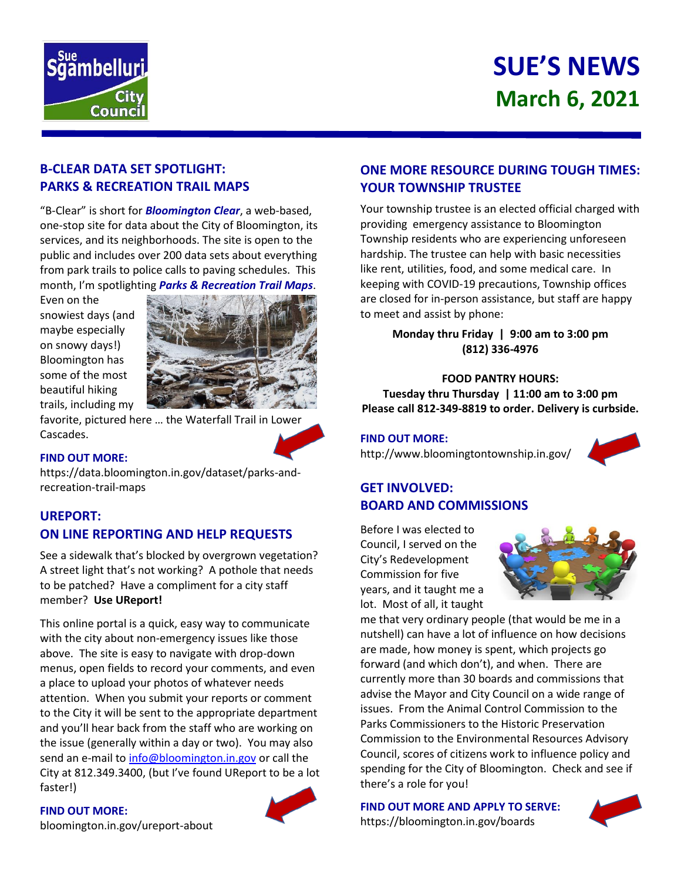

# **SUE'S NEWS March 6, 2021**

## **B-CLEAR DATA SET SPOTLIGHT: PARKS & RECREATION TRAIL MAPS**

"B-Clear" is short for *Bloomington Clear*, a web-based, one-stop site for data about the City of Bloomington, its services, and its neighborhoods. The site is open to the public and includes over 200 data sets about everything from park trails to police calls to paving schedules. This month, I'm spotlighting *Parks & Recreation Trail Maps*.

Even on the snowiest days (and maybe especially on snowy days!) Bloomington has some of the most beautiful hiking trails, including my



favorite, pictured here … the Waterfall Trail in Lower Cascades.



### **FIND OUT MORE:**

https://data.bloomington.in.gov/dataset/parks-andrecreation-trail-maps

# **UREPORT: ON LINE REPORTING AND HELP REQUESTS**

See a sidewalk that's blocked by overgrown vegetation? A street light that's not working? A pothole that needs to be patched? Have a compliment for a city staff member? **Use UReport!**

This online portal is a quick, easy way to communicate with the city about non-emergency issues like those above. The site is easy to navigate with drop-down menus, open fields to record your comments, and even a place to upload your photos of whatever needs attention. When you submit your reports or comment to the City it will be sent to the appropriate department and you'll hear back from the staff who are working on the issue (generally within a day or two). You may also send an e-mail to [info@bloomington.in.gov](mailto:info@bloomington.in.gov) or call the City at 812.349.3400, (but I've found UReport to be a lot faster!)

#### **FIND OUT MORE:**



## **ONE MORE RESOURCE DURING TOUGH TIMES: YOUR TOWNSHIP TRUSTEE**

Your township trustee is an elected official charged with providing emergency assistance to Bloomington Township residents who are experiencing unforeseen hardship. The trustee can help with basic necessities like rent, utilities, food, and some medical care. In keeping with COVID-19 precautions, Township offices are closed for in-person assistance, but staff are happy to meet and assist by phone:

> **Monday thru Friday | 9:00 am to 3:00 pm (812) 336-4976**

#### **FOOD PANTRY HOURS:**

**Tuesday thru Thursday | 11:00 am to 3:00 pm Please call 812-349-8819 to order. Delivery is curbside.**

#### **FIND OUT MORE:**

http://www.bloomingtontownship.in.gov/



## **GET INVOLVED: BOARD AND COMMISSIONS**

Before I was elected to Council, I served on the City's Redevelopment Commission for five years, and it taught me a lot. Most of all, it taught



me that very ordinary people (that would be me in a nutshell) can have a lot of influence on how decisions are made, how money is spent, which projects go forward (and which don't), and when. There are currently more than 30 boards and commissions that advise the Mayor and City Council on a wide range of issues. From the Animal Control Commission to the Parks Commissioners to the Historic Preservation Commission to the Environmental Resources Advisory Council, scores of citizens work to influence policy and spending for the City of Bloomington. Check and see if there's a role for you!

**FIND OUT MORE AND APPLY TO SERVE:** https://bloomington.in.gov/boards



[bloomington.in.gov/ureport-about](https://bloomington.in.gov/ureport-about)